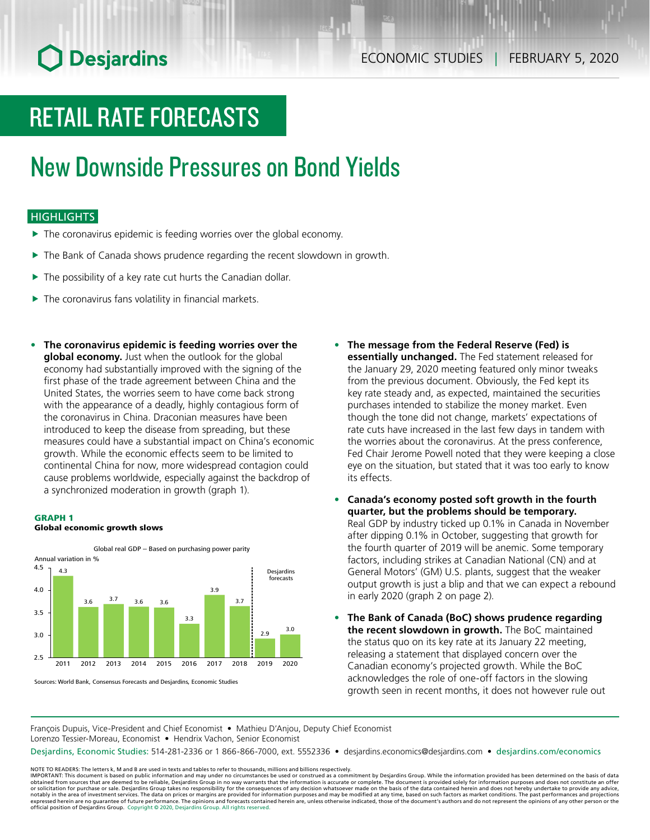# **O** Desjardins

# RETAIL RATE FORECASTS

# New Downside Pressures on Bond Yields

### **HIGHLIGHTS**

- $\blacktriangleright$  The coronavirus epidemic is feeding worries over the global economy.
- $\blacktriangleright$  The Bank of Canada shows prudence regarding the recent slowdown in growth.
- $\blacktriangleright$  The possibility of a key rate cut hurts the Canadian dollar.
- $\blacktriangleright$  The coronavirus fans volatility in financial markets.
- **• The coronavirus epidemic is feeding worries over the global economy.** Just when the outlook for the global economy had substantially improved with the signing of the first phase of the trade agreement between China and the United States, the worries seem to have come back strong with the appearance of a deadly, highly contagious form of the coronavirus in China. Draconian measures have been introduced to keep the disease from spreading, but these measures could have a substantial impact on China's economic growth. While the economic effects seem to be limited to continental China for now, more widespread contagion could cause problems worldwide, especially against the backdrop of a synchronized moderation in growth (graph 1).

#### GRAPH 1





Sources: World Bank, Consensus Forecasts and Desjardins, Economic Studies

- **• The message from the Federal Reserve (Fed) is essentially unchanged.** The Fed statement released for the January 29, 2020 meeting featured only minor tweaks from the previous document. Obviously, the Fed kept its key rate steady and, as expected, maintained the securities purchases intended to stabilize the money market. Even though the tone did not change, markets' expectations of rate cuts have increased in the last few days in tandem with the worries about the coronavirus. At the press conference, Fed Chair Jerome Powell noted that they were keeping a close eye on the situation, but stated that it was too early to know its effects.
- **• Canada's economy posted soft growth in the fourth quarter, but the problems should be temporary.** Real GDP by industry ticked up 0.1% in Canada in November after dipping 0.1% in October, suggesting that growth for the fourth quarter of 2019 will be anemic. Some temporary factors, including strikes at Canadian National (CN) and at General Motors' (GM) U.S. plants, suggest that the weaker output growth is just a blip and that we can expect a rebound in early 2020 (graph 2 on page 2).
- **• The Bank of Canada (BoC) shows prudence regarding the recent slowdown in growth.** The BoC maintained the status quo on its key rate at its January 22 meeting, releasing a statement that displayed concern over the Canadian economy's projected growth. While the BoC acknowledges the role of one-off factors in the slowing growth seen in recent months, it does not however rule out

François Dupuis, Vice-President and Chief Economist • Mathieu D'Anjou, Deputy Chief Economist Lorenzo Tessier-Moreau, Economist • Hendrix Vachon, Senior Economist

Desjardins, Economic Studies: 514-281-2336 or 1 866-866-7000, ext. 5552336 • desjardins.economics@desjardins.com • [desjardins.com/economics](http://desjardins.com/economics)

NOTE TO READERS: The letters k, M and B are used in texts and tables to refer to thousands, millions and billions respectively.<br>IMPORTANT: This document is based on public information and may under no circumstances be used obtained from sources that are deemed to be reliable, Desjardins Group in no way warrants that the information is accurate or complete. The document is provided solely for information purposes and does not constitute an of expressed herein are no guarantee of future performance. The opinions and forecasts contained herein are, unless otherwise indicated, those of the document's authors and do not represent the opinions of any other person or official position of Desjardins Group. Copyright © 2020, Desjardins Group. All rights reserved.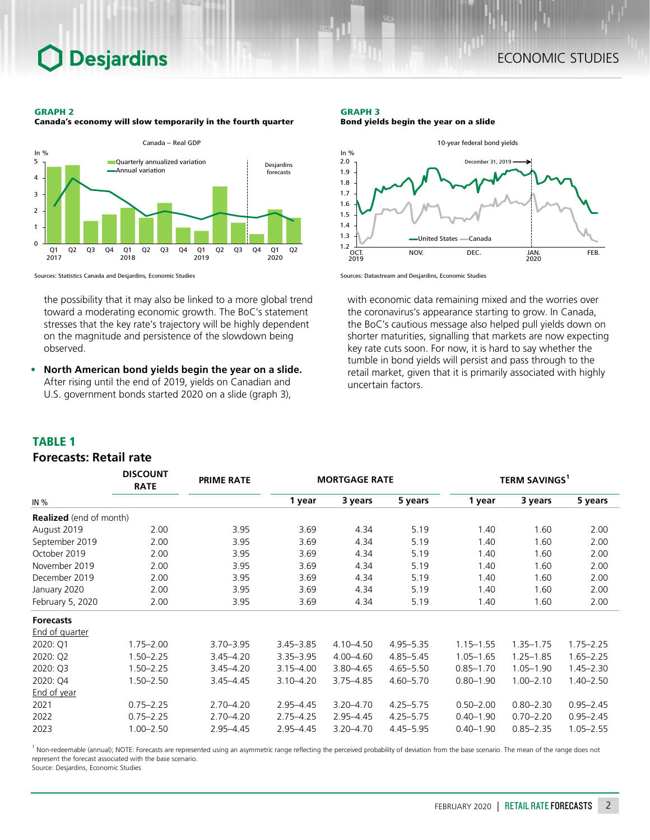## **Desjardins**

#### GRAPH 2





Sources: Statistics Canada and Desjardins, Economic Studies

the possibility that it may also be linked to a more global trend toward a moderating economic growth. The BoC's statement stresses that the key rate's trajectory will be highly dependent on the magnitude and persistence of the slowdown being observed.

**• North American bond yields begin the year on a slide.** After rising until the end of 2019, yields on Canadian and U.S. government bonds started 2020 on a slide (graph 3),

#### GRAPH 3 Bond yields begin the year on a slide



Sources: Datastream and Desjardins, Economic Studies

with economic data remaining mixed and the worries over the coronavirus's appearance starting to grow. In Canada, the BoC's cautious message also helped pull yields down on shorter maturities, signalling that markets are now expecting key rate cuts soon. For now, it is hard to say whether the tumble in bond yields will persist and pass through to the retail market, given that it is primarily associated with highly uncertain factors.

### TABLE 1

### *Forecasts: Retail rate*

|                                | <b>DISCOUNT</b><br><b>MORTGAGE RATE</b><br><b>PRIME RATE</b><br><b>RATE</b> |               |               |               | <b>TERM SAVINGS</b> <sup>1</sup> |               |               |               |  |
|--------------------------------|-----------------------------------------------------------------------------|---------------|---------------|---------------|----------------------------------|---------------|---------------|---------------|--|
| IN %                           |                                                                             |               | 1 year        | 3 years       | 5 years                          | 1 year        | 3 years       | 5 years       |  |
| <b>Realized</b> (end of month) |                                                                             |               |               |               |                                  |               |               |               |  |
| August 2019                    | 2.00                                                                        | 3.95          | 3.69          | 4.34          | 5.19                             | 1.40          | 1.60          | 2.00          |  |
| September 2019                 | 2.00                                                                        | 3.95          | 3.69          | 4.34          | 5.19                             | 1.40          | 1.60          | 2.00          |  |
| October 2019                   | 2.00                                                                        | 3.95          | 3.69          | 4.34          | 5.19                             | 1.40          | 1.60          | 2.00          |  |
| November 2019                  | 2.00                                                                        | 3.95          | 3.69          | 4.34          | 5.19                             | 1.40          | 1.60          | 2.00          |  |
| December 2019                  | 2.00                                                                        | 3.95          | 3.69          | 4.34          | 5.19                             | 1.40          | 1.60          | 2.00          |  |
| January 2020                   | 2.00                                                                        | 3.95          | 3.69          | 4.34          | 5.19                             | 1.40          | 1.60          | 2.00          |  |
| February 5, 2020               | 2.00                                                                        | 3.95          | 3.69          | 4.34          | 5.19                             | 1.40          | 1.60          | 2.00          |  |
| <b>Forecasts</b>               |                                                                             |               |               |               |                                  |               |               |               |  |
| <b>End of quarter</b>          |                                                                             |               |               |               |                                  |               |               |               |  |
| 2020: Q1                       | $1.75 - 2.00$                                                               | $3.70 - 3.95$ | $3.45 - 3.85$ | $4.10 - 4.50$ | $4.95 - 5.35$                    | $1.15 - 1.55$ | $1.35 - 1.75$ | $1.75 - 2.25$ |  |
| 2020: Q2                       | $1.50 - 2.25$                                                               | $3.45 - 4.20$ | $3.35 - 3.95$ | $4.00 - 4.60$ | $4.85 - 5.45$                    | $1.05 - 1.65$ | $1.25 - 1.85$ | $1.65 - 2.25$ |  |
| 2020: Q3                       | $1.50 - 2.25$                                                               | $3.45 - 4.20$ | $3.15 - 4.00$ | $3.80 - 4.65$ | $4.65 - 5.50$                    | $0.85 - 1.70$ | $1.05 - 1.90$ | $1.45 - 2.30$ |  |
| 2020: Q4                       | $1.50 - 2.50$                                                               | $3.45 - 4.45$ | $3.10 - 4.20$ | $3.75 - 4.85$ | $4.60 - 5.70$                    | $0.80 - 1.90$ | $1.00 - 2.10$ | $1.40 - 2.50$ |  |
| End of year                    |                                                                             |               |               |               |                                  |               |               |               |  |
| 2021                           | $0.75 - 2.25$                                                               | $2.70 - 4.20$ | $2.95 - 4.45$ | $3.20 - 4.70$ | $4.25 - 5.75$                    | $0.50 - 2.00$ | $0.80 - 2.30$ | $0.95 - 2.45$ |  |
| 2022                           | $0.75 - 2.25$                                                               | $2.70 - 4.20$ | $2.75 - 4.25$ | $2.95 - 4.45$ | $4.25 - 5.75$                    | $0.40 - 1.90$ | $0.70 - 2.20$ | $0.95 - 2.45$ |  |
| 2023                           | $1.00 - 2.50$                                                               | $2.95 - 4.45$ | $2.95 - 4.45$ | 3.20-4.70     | $4.45 - 5.95$                    | $0.40 - 1.90$ | $0.85 - 2.35$ | $1.05 - 2.55$ |  |

<sup>1</sup> Non-redeemable (annual); NOTE: Forecasts are represented using an asymmetric range reflecting the perceived probability of deviation from the base scenario. The mean of the range does not represent the forecast associated with the base scenario.

Source: Desjardins, Economic Studies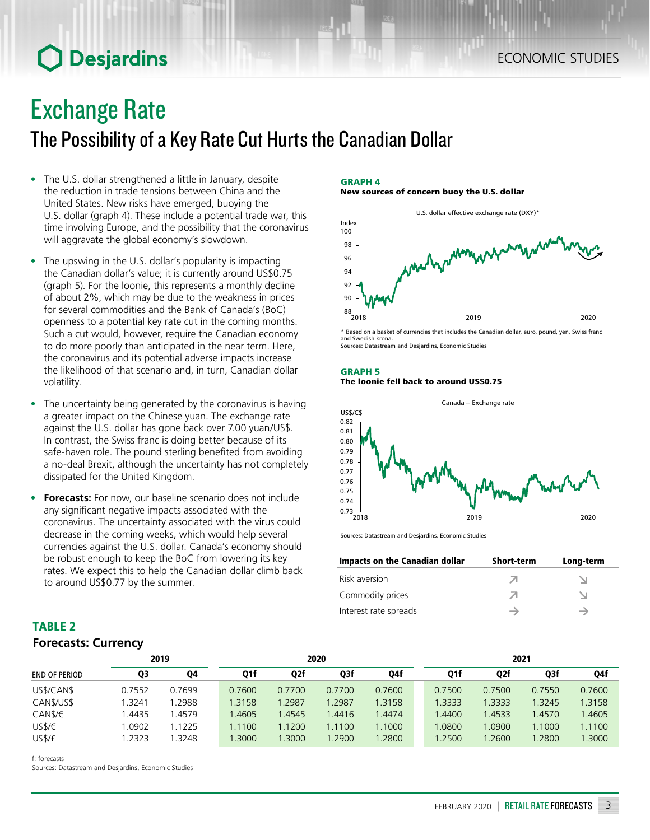# **O** Desjardins

### Exchange Rate

The Possibility of a Key Rate Cut Hurts the Canadian Dollar

- The U.S. dollar strengthened a little in January, despite the reduction in trade tensions between China and the United States. New risks have emerged, buoying the U.S. dollar (graph 4). These include a potential trade war, this time involving Europe, and the possibility that the coronavirus will aggravate the global economy's slowdown.
- The upswing in the U.S. dollar's popularity is impacting the Canadian dollar's value; it is currently around US\$0.75 (graph 5). For the loonie, this represents a monthly decline of about 2%, which may be due to the weakness in prices for several commodities and the Bank of Canada's (BoC) openness to a potential key rate cut in the coming months. Such a cut would, however, require the Canadian economy to do more poorly than anticipated in the near term. Here, the coronavirus and its potential adverse impacts increase the likelihood of that scenario and, in turn, Canadian dollar volatility.
- The uncertainty being generated by the coronavirus is having a greater impact on the Chinese yuan. The exchange rate against the U.S. dollar has gone back over 7.00 yuan/US\$. In contrast, the Swiss franc is doing better because of its safe-haven role. The pound sterling benefited from avoiding a no-deal Brexit, although the uncertainty has not completely dissipated for the United Kingdom.
- **• Forecasts:** For now, our baseline scenario does not include any significant negative impacts associated with the coronavirus. The uncertainty associated with the virus could decrease in the coming weeks, which would help several currencies against the U.S. dollar. Canada's economy should be robust enough to keep the BoC from lowering its key rates. We expect this to help the Canadian dollar climb back to around US\$0.77 by the summer.

### GRAPH 4

New sources of concern buoy the U.S. dollar



\* Based on a basket of currencies that includes the Canadian dollar, euro, pound, yen, Swiss franc and Swedish krona. Sources: Datastream and Desjardins, Economic Studies

#### GRAPH 5 The loonie fell back to around US\$0.75



Sources: Datastream and Desjardins, Economic Studies

| Impacts on the Canadian dollar | <b>Short-term</b> | Long-term |
|--------------------------------|-------------------|-----------|
| Risk aversion                  |                   |           |
| Commodity prices               |                   |           |
| Interest rate spreads          |                   |           |

| <b>TABLE 2</b>             |  |
|----------------------------|--|
| <b>Forecasts: Currency</b> |  |

|                      | 2020   |        |        |        | 2021   |        |        |                  |        |        |
|----------------------|--------|--------|--------|--------|--------|--------|--------|------------------|--------|--------|
| <b>END OF PERIOD</b> | Q3     | Q4     | Q1f    | Q2f    | Q3f    | Q4f    | Q1f    | Q <sub>2</sub> f | Q3f    | Q4f    |
| US\$/CAN\$           | 0.7552 | 0.7699 | 0.7600 | 0.7700 | 0.7700 | 0.7600 | 0.7500 | 0.7500           | 0.7550 | 0.7600 |
| CAN\$/US\$           | 3241.، | 1.2988 | 1.3158 | 1.2987 | 1.2987 | 1.3158 | 1.3333 | 1.3333           | 1.3245 | 1.3158 |
| CANS/E               | 4435   | 1.4579 | 1.4605 | 1.4545 | 1.4416 | 1.4474 | 1.4400 | 1.4533           | 1.4570 | 1.4605 |
| US\$/€               | .0902  | 1.1225 | 1.1100 | 1.1200 | 1.1100 | 1.1000 | 1.0800 | 0.0900           | 1.1000 | 1.1100 |
| US\$/£               | .2323  | .3248  | .3000  | 1.3000 | .2900  | 1.2800 | 1.2500 | .2600            | .2800  | .3000  |

f: forecasts

Sources: Datastream and Desjardins, Economic Studies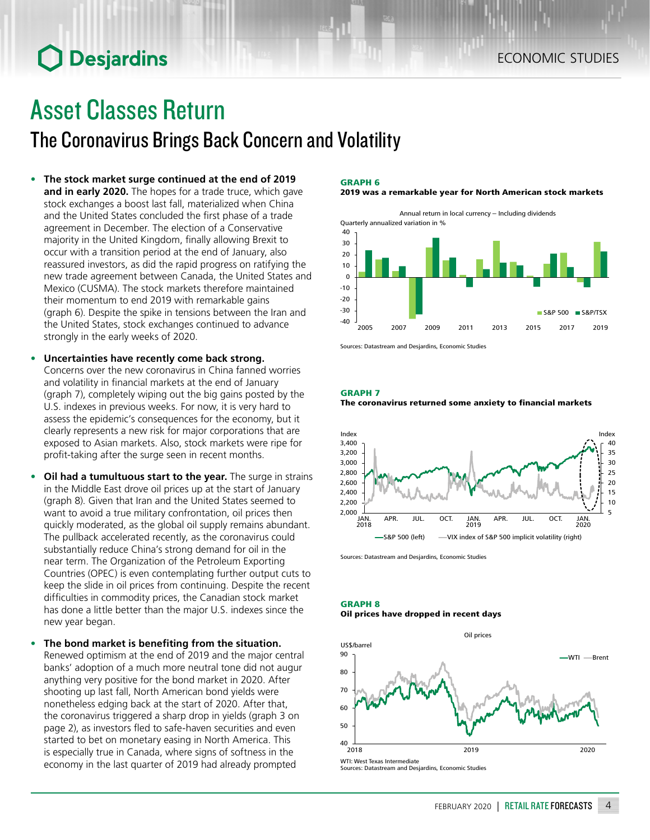# **O** Desjardins

# Asset Classes Return

### The Coronavirus Brings Back Concern and Volatility

- **• The stock market surge continued at the end of 2019 and in early 2020.** The hopes for a trade truce, which gave stock exchanges a boost last fall, materialized when China and the United States concluded the first phase of a trade agreement in December. The election of a Conservative majority in the United Kingdom, finally allowing Brexit to occur with a transition period at the end of January, also reassured investors, as did the rapid progress on ratifying the new trade agreement between Canada, the United States and Mexico (CUSMA). The stock markets therefore maintained their momentum to end 2019 with remarkable gains (graph 6). Despite the spike in tensions between the Iran and the United States, stock exchanges continued to advance strongly in the early weeks of 2020.
- **• Uncertainties have recently come back strong.** Concerns over the new coronavirus in China fanned worries and volatility in financial markets at the end of January (graph 7), completely wiping out the big gains posted by the U.S. indexes in previous weeks. For now, it is very hard to assess the epidemic's consequences for the economy, but it clearly represents a new risk for major corporations that are exposed to Asian markets. Also, stock markets were ripe for profit-taking after the surge seen in recent months.
- **• Oil had a tumultuous start to the year.** The surge in strains in the Middle East drove oil prices up at the start of January (graph 8). Given that Iran and the United States seemed to want to avoid a true military confrontation, oil prices then quickly moderated, as the global oil supply remains abundant. The pullback accelerated recently, as the coronavirus could substantially reduce China's strong demand for oil in the near term. The Organization of the Petroleum Exporting Countries (OPEC) is even contemplating further output cuts to keep the slide in oil prices from continuing. Despite the recent difficulties in commodity prices, the Canadian stock market has done a little better than the major U.S. indexes since the new year began.
- **• The bond market is benefiting from the situation.** Renewed optimism at the end of 2019 and the major central banks' adoption of a much more neutral tone did not augur anything very positive for the bond market in 2020. After shooting up last fall, North American bond yields were nonetheless edging back at the start of 2020. After that, the coronavirus triggered a sharp drop in yields (graph 3 on page 2), as investors fled to safe-haven securities and even started to bet on monetary easing in North America. This is especially true in Canada, where signs of softness in the economy in the last quarter of 2019 had already prompted

#### GRAPH 6

2019 was a remarkable year for North American stock markets

Annual return in local currency – Including dividends Quarterly annualized variation in % 30  $40$ 



Sources: Datastream and Desjardins, Economic Studies

#### GRAPH 7

The coronavirus returned some anxiety to financial markets



Sources: Datastream and Desjardins, Economic Studies

#### GRAPH 8 Oil prices have dropped in recent days



Sources: Datastream and Desjardins, Economic Studies